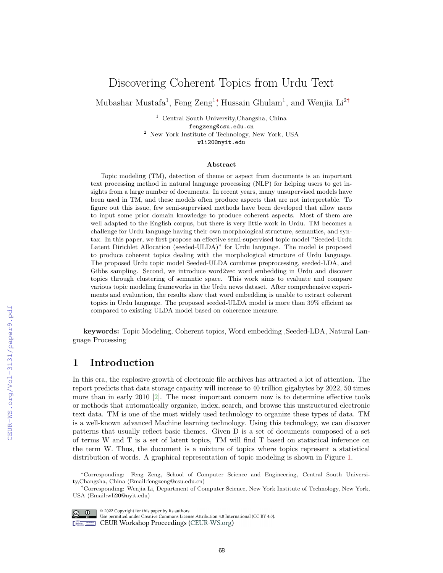# Discovering Coherent Topics from Urdu Text

Mubashar Mustafa<sup>1</sup>, Feng Zeng<sup>1</sup><sup>\*</sup>, Hussain Ghulam<sup>1</sup>, and Wenjia Li<sup>2†</sup>

<sup>1</sup> Central South University,Changsha, China fengzeng@csu.edu.cn <sup>2</sup> New York Institute of Technology, New York, USA wli20@nyit.edu

#### Abstract

Topic modeling (TM), detection of theme or aspect from documents is an important text processing method in natural language processing (NLP) for helping users to get insights from a large number of documents. In recent years, many unsupervised models have been used in TM, and these models often produce aspects that are not interpretable. To figure out this issue, few semi-supervised methods have been developed that allow users to input some prior domain knowledge to produce coherent aspects. Most of them are well adapted to the English corpus, but there is very little work in Urdu. TM becomes a challenge for Urdu language having their own morphological structure, semantics, and syntax. In this paper, we first propose an effective semi-supervised topic model "Seeded-Urdu Latent Dirichlet Allocation (seeded-ULDA)" for Urdu language. The model is proposed to produce coherent topics dealing with the morphological structure of Urdu language. The proposed Urdu topic model Seeded-ULDA combines preprocessing, seeded-LDA, and Gibbs sampling. Second, we introduce word2vec word embedding in Urdu and discover topics through clustering of semantic space. This work aims to evaluate and compare various topic modeling frameworks in the Urdu news dataset. After comprehensive experiments and evaluation, the results show that word embedding is unable to extract coherent topics in Urdu language. The proposed seeded-ULDA model is more than 39% efficient as compared to existing ULDA model based on coherence measure.

keywords: Topic Modeling, Coherent topics, Word embedding ,Seeded-LDA, Natural Language Processing

## 1 Introduction

In this era, the explosive growth of electronic file archives has attracted a lot of attention. The report predicts that data storage capacity will increase to 40 trillion gigabytes by 2022, 50 times more than in early 2010 [\[2\]](#page--1-0). The most important concern now is to determine effective tools or methods that automatically organize, index, search, and browse this unstructured electronic text data. TM is one of the most widely used technology to organize these types of data. TM is a well-known advanced Machine learning technology. Using this technology, we can discover patterns that usually reflect basic themes. Given D is a set of documents composed of a set of terms W and T is a set of latent topics, TM will find T based on statistical inference on the term W. Thus, the document is a mixture of topics where topics represent a statistical distribution of words. A graphical representation of topic modeling is shown in Figure [1.](#page--1-1)

 $\circ$  2022 Copyright for this paper by its authors.

Use permitted under Creative Commons License Attribution 4.0 International (CC BY 4.0)

**Example 2018** CEUR Workshop Proceedings (CEUR-WS.org)

<sup>∗</sup>Corresponding: Feng Zeng, School of Computer Science and Engineering, Central South University,Changsha, China (Email:fengzeng@csu.edu.cn)

<sup>†</sup>Corresponding: Wenjia Li, Department of Computer Science, New York Institute of Technology, New York, USA (Email:wli20@nyit.edu)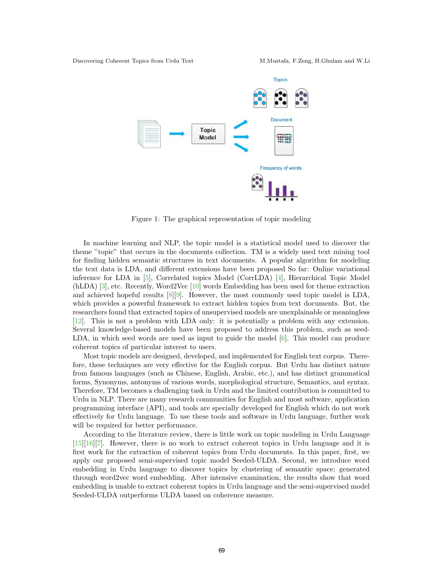

Figure 1: The graphical representation of topic modeling

In machine learning and NLP, the topic model is a statistical model used to discover the theme "topic" that occurs in the documents collection. TM is a widely used text mining tool for finding hidden semantic structures in text documents. A popular algorithm for modeling the text data is LDA, and different extensions have been proposed So far: Online variational inference for LDA in [\[5\]](#page-11-0), Correlated topics Model (CorrLDA) [\[4\],](#page-11-1) Hierarchical Topic Model (hLDA) [\[3\],](#page-11-2) etc. Recently, Word2Vec [\[10\]](#page-11-3) words Embedding has been used for theme extraction and achieved hopeful results [\[8\]](#page-11-4)[\[9\]](#page-11-5). However, the most commonly used topic model is LDA, which provides a powerful framework to extract hidden topics from text documents. But, the researchers found that extracted topics of unsupervised models are unexplainable or meaningless [\[12\].](#page-11-6) This is not a problem with LDA only: it is potentially a problem with any extension. Several knowledge-based models have been proposed to address this problem, such as seed-LDA, in which seed words are used as input to guide the model [\[6\].](#page-11-7) This model can produce coherent topics of particular interest to users.

Most topic models are designed, developed, and implemented for English text corpus. Therefore, these techniques are very effective for the English corpus. But Urdu has distinct nature from famous languages (such as Chinese, English, Arabic, etc.), and has distinct grammatical forms, Synonyms, antonyms of various words, morphological structure, Semantics, and syntax. Therefore, TM becomes a challenging task in Urdu and the limited contribution is committed to Urdu in NLP. There are many research communities for English and most software, application programming interface (API), and tools are specially developed for English which do not work effectively for Urdu language. To use these tools and software in Urdu language, further work will be required for better performance.

According to the literature review, there is little work on topic modeling in Urdu Language [\[15\]](#page-11-8)[\[16\]](#page-11-9)[\[7\].](#page-11-10) However, there is no work to extract coherent topics in Urdu language and it is first work for the extraction of coherent topics from Urdu documents. In this paper, first, we apply our proposed semi-supervised topic model Seeded-ULDA. Second, we introduce word embedding in Urdu language to discover topics by clustering of semantic space; generated through word2vec word embedding. After intensive examination, the results show that word embedding is unable to extract coherent topics in Urdu language and the semi-supervised model Seeded-ULDA outperforms ULDA based on coherence measure.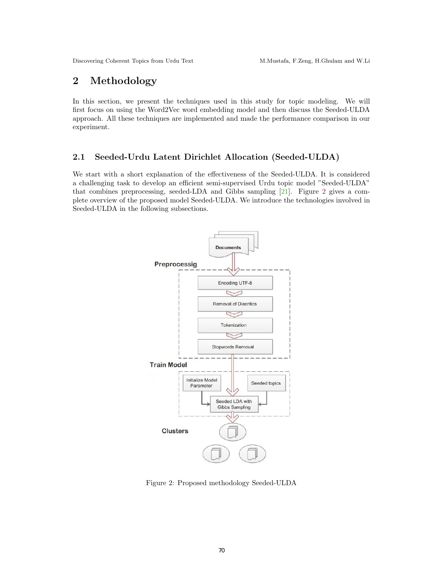## 2 Methodology

In this section, we present the techniques used in this study for topic modeling. We will first focus on using the Word2Vec word embedding model and then discuss the Seeded-ULDA approach. All these techniques are implemented and made the performance comparison in our experiment.

## 2.1 Seeded-Urdu Latent Dirichlet Allocation (Seeded-ULDA)

We start with a short explanation of the effectiveness of the Seeded-ULDA. It is considered a challenging task to develop an efficient semi-supervised Urdu topic model "Seeded-ULDA" that combines preprocessing, seeded-LDA and Gibbs sampling [\[21\]](#page-12-0). Figure [2](#page-2-0) gives a complete overview of the proposed model Seeded-ULDA. We introduce the technologies involved in Seeded-ULDA in the following subsections.



<span id="page-2-0"></span>Figure 2: Proposed methodology Seeded-ULDA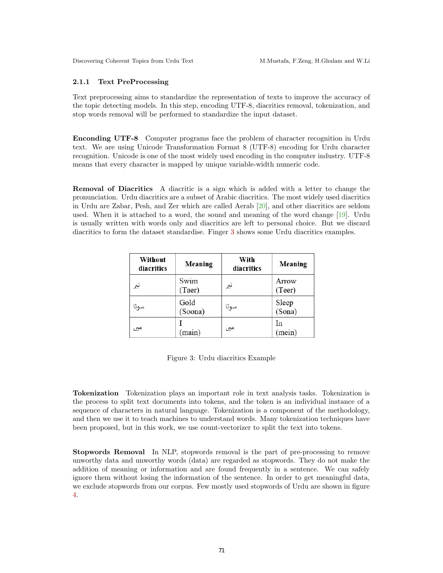### 2.1.1 Text PreProcessing

Text preprocessing aims to standardize the representation of texts to improve the accuracy of the topic detecting models. In this step, encoding UTF-8, diacritics removal, tokenization, and stop words removal will be performed to standardize the input dataset.

Enconding UTF-8 Computer programs face the problem of character recognition in Urdu text. We are using Unicode Transformation Format 8 (UTF-8) encoding for Urdu character recognition. Unicode is one of the most widely used encoding in the computer industry. UTF-8 means that every character is mapped by unique variable-width numeric code.

Removal of Diacritics A diacritic is a sign which is added with a letter to change the pronunciation. Urdu diacritics are a subset of Arabic diacritics. The most widely used diacritics in Urdu are Zabar, Pesh, and Zer which are called Aerab [\[20\]](#page-12-1), and other diacritics are seldom used. When it is attached to a word, the sound and meaning of the word change [\[19\]](#page-12-2). Urdu is usually written with words only and diacritics are left to personal choice. But we discard diacritics to form the dataset standardise. Finger [3](#page-3-0) shows some Urdu diacritics examples.

| Without<br>diacritics | Meaning         | With<br>diacritics | Meaning         |
|-----------------------|-----------------|--------------------|-----------------|
| تير                   | Swim<br>(Taer)  | تير                | Arrow<br>(Teer) |
| سونا                  | Gold<br>(Soona) | سونا               | Sleep<br>(Sona) |
| مبر                   | (main)          | میں                | In<br>(mein)    |

<span id="page-3-0"></span>Figure 3: Urdu diacritics Example

Tokenization Tokenization plays an important role in text analysis tasks. Tokenization is the process to split text documents into tokens, and the token is an individual instance of a sequence of characters in natural language. Tokenization is a component of the methodology, and then we use it to teach machines to understand words. Many tokenization techniques have been proposed, but in this work, we use count-vectorizer to split the text into tokens.

Stopwords Removal In NLP, stopwords removal is the part of pre-processing to remove unworthy data and unworthy words (data) are regarded as stopwords. They do not make the addition of meaning or information and are found frequently in a sentence. We can safely ignore them without losing the information of the sentence. In order to get meaningful data, we exclude stopwords from our corpus. Few mostly used stopwords of Urdu are shown in figure [4.](#page-4-0)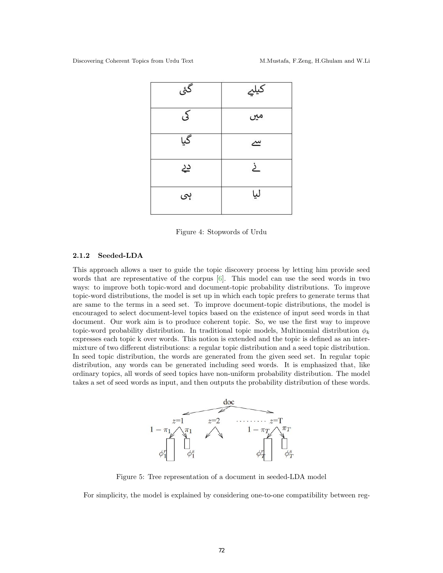| گئی | کیلیے    |
|-----|----------|
| کی  | میں      |
| گیا | $\simeq$ |
| دد  | خ        |
| ہی  | ليا      |

<span id="page-4-0"></span>Figure 4: Stopwords of Urdu

### 2.1.2 Seeded-LDA

This approach allows a user to guide the topic discovery process by letting him provide seed words that are representative of the corpus  $[6]$ . This model can use the seed words in two ways: to improve both topic-word and document-topic probability distributions. To improve topic-word distributions, the model is set up in which each topic prefers to generate terms that are same to the terms in a seed set. To improve document-topic distributions, the model is encouraged to select document-level topics based on the existence of input seed words in that document. Our work aim is to produce coherent topic. So, we use the first way to improve topic-word probability distribution. In traditional topic models, Multinomial distribution  $\phi_k$ expresses each topic k over words. This notion is extended and the topic is defined as an intermixture of two different distributions: a regular topic distribution and a seed topic distribution. In seed topic distribution, the words are generated from the given seed set. In regular topic distribution, any words can be generated including seed words. It is emphasized that, like ordinary topics, all words of seed topics have non-uniform probability distribution. The model takes a set of seed words as input, and then outputs the probability distribution of these words.



<span id="page-4-1"></span>Figure 5: Tree representation of a document in seeded-LDA model

For simplicity, the model is explained by considering one-to-one compatibility between reg-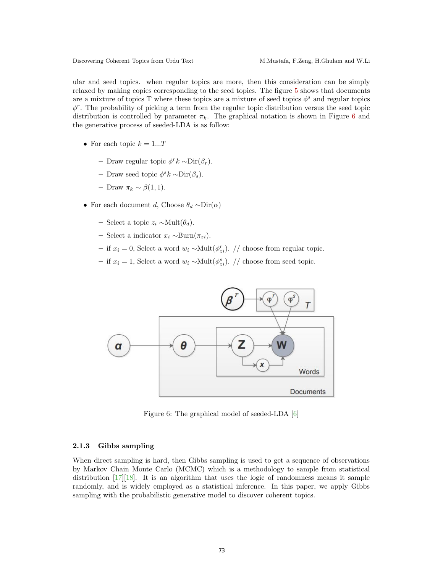ular and seed topics. when regular topics are more, then this consideration can be simply relaxed by making copies corresponding to the seed topics. The figure [5](#page-4-1) shows that documents are a mixture of topics T where these topics are a mixture of seed topics  $\phi^s$  and regular topics  $\phi^r$ . The probability of picking a term from the regular topic distribution versus the seed topic distribution is controlled by parameter  $\pi_k$ . The graphical notation is shown in Figure [6](#page-5-0) and the generative process of seeded-LDA is as follow:

- For each topic  $k = 1...T$ 
	- Draw regular topic  $\phi^r k \sim \text{Dir}(\beta_r)$ .
	- Draw seed topic  $\phi^s k \sim$ Dir( $\beta_s$ ).
	- Draw  $\pi_k$  ∼ β(1,1).
- For each document d, Choose  $\theta_d \sim \text{Dir}(\alpha)$ 
	- Select a topic  $z_i$  ∼Mult $(θ_d)$ .
	- Select a indicator x<sup>i</sup> ∼Burn(πzi).
	- − if  $x_i = 0$ , Select a word  $w_i$  ~Mult $(\phi_{zi}^r)$ . // choose from regular topic.
	- if  $x_i = 1$ , Select a word  $w_i$  ~Mult $(\phi_{zi}^s)$ . // choose from seed topic.



<span id="page-5-0"></span>Figure 6: The graphical model of seeded-LDA [\[6\]](#page-11-7)

### 2.1.3 Gibbs sampling

When direct sampling is hard, then Gibbs sampling is used to get a sequence of observations by Markov Chain Monte Carlo (MCMC) which is a methodology to sample from statistical distribution [\[17\]](#page-12-3)[\[18\].](#page-12-4) It is an algorithm that uses the logic of randomness means it sample randomly, and is widely employed as a statistical inference. In this paper, we apply Gibbs sampling with the probabilistic generative model to discover coherent topics.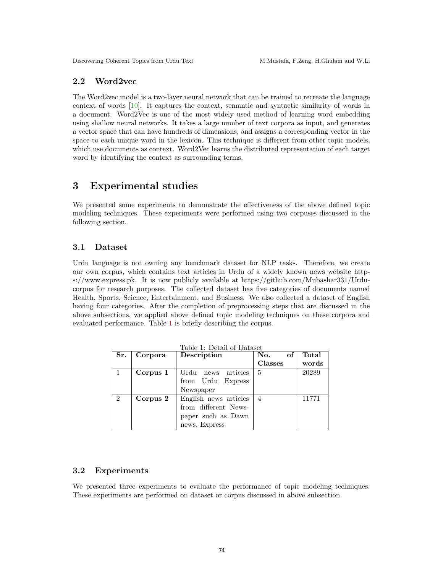### 2.2 Word2vec

The Word2vec model is a two-layer neural network that can be trained to recreate the language context of words [\[10\]](#page-11-3). It captures the context, semantic and syntactic similarity of words in a document. Word2Vec is one of the most widely used method of learning word embedding using shallow neural networks. It takes a large number of text corpora as input, and generates a vector space that can have hundreds of dimensions, and assigns a corresponding vector in the space to each unique word in the lexicon. This technique is different from other topic models, which use documents as context. Word2Vec learns the distributed representation of each target word by identifying the context as surrounding terms.

## 3 Experimental studies

We presented some experiments to demonstrate the effectiveness of the above defined topic modeling techniques. These experiments were performed using two corpuses discussed in the following section.

### 3.1 Dataset

Urdu language is not owning any benchmark dataset for NLP tasks. Therefore, we create our own corpus, which contains text articles in Urdu of a widely known news website https://www.express.pk. It is now publicly available at https://github.com/Mubashar331/Urducorpus for research purposes. The collected dataset has five categories of documents named Health, Sports, Science, Entertainment, and Business. We also collected a dataset of English having four categories. After the completion of preprocessing steps that are discussed in the above subsections, we applied above defined topic modeling techniques on these corpora and evaluated performance. Table [1](#page-6-0) is briefly describing the corpus.

<span id="page-6-0"></span>

| Table 1: Detail of Dataset |          |                       |                |       |
|----------------------------|----------|-----------------------|----------------|-------|
| Sr.                        | Corpora  | Description           | of<br>No.      | Total |
|                            |          |                       | Classes        | words |
|                            | Corpus 1 | Urdu<br>news articles | 5              | 20289 |
|                            |          | from Urdu Express     |                |       |
|                            |          | Newspaper             |                |       |
| $\mathfrak{D}$             | Corpus 2 | English news articles | $\overline{4}$ | 11771 |
|                            |          | from different News-  |                |       |
|                            |          | paper such as Dawn    |                |       |
|                            |          | news, Express         |                |       |

### 3.2 Experiments

We presented three experiments to evaluate the performance of topic modeling techniques. These experiments are performed on dataset or corpus discussed in above subsection.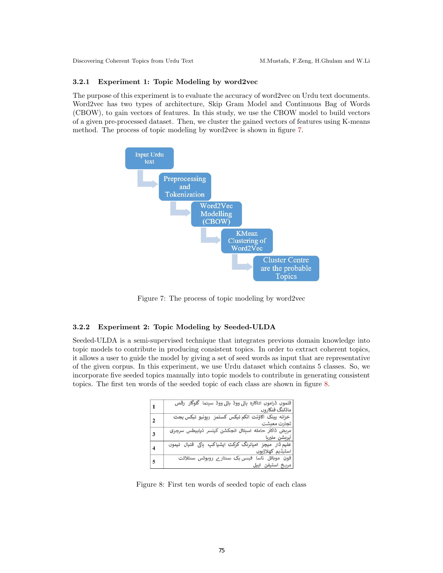### 3.2.1 Experiment 1: Topic Modeling by word2vec

The purpose of this experiment is to evaluate the accuracy of word2vec on Urdu text documents. Word2vec has two types of architecture, Skip Gram Model and Continuous Bag of Words (CBOW), to gain vectors of features. In this study, we use the CBOW model to build vectors of a given pre-processed dataset. Then, we cluster the gained vectors of features using K-means method. The process of topic modeling by word2vec is shown in figure [7.](#page-7-0)



<span id="page-7-0"></span>Figure 7: The process of topic modeling by word2vec

### 3.2.2 Experiment 2: Topic Modeling by Seeded-ULDA

Seeded-ULDA is a semi-supervised technique that integrates previous domain knowledge into topic models to contribute in producing consistent topics. In order to extract coherent topics, it allows a user to guide the model by giving a set of seed words as input that are representative of the given corpus. In this experiment, we use Urdu dataset which contains 5 classes. So, we incorporate five seeded topics manually into topic models to contribute in generating consistent topics. The first ten words of the seeded topic of each class are shown in figure [8.](#page-7-1)

| $\mathbf{1}$   | فلموں ڈراموں اداکارہ ہالی ووڈ بالی ووڈ سینما گلوگار رقص<br>ماڈلنگ فنکاروں  |
|----------------|----------------------------------------------------------------------------|
| $\overline{2}$ | خزانه بينك آكاؤنث انكم تيكس كستمز ريونيو تيكس بجث<br>  تجارت معیشت         |
| 3              | مریض ڈاکٹر حامله اسپتال انجکشن کینسر ذیابیطس سرجری<br>آيريشن مليربا        |
|                | علیم ڈار میچز امپائرنگ کرکٹ ایشیاکپ ہاکی فٹبال ٹیموں<br>  اسٹیڈیم کھلاڑبوں |
| $\overline{5}$ | فون موبائل ناسا فبس بک سنتار ے روبوٹس سنٹلائٹ<br>  مريخ استيفن ايپل        |

<span id="page-7-1"></span>Figure 8: First ten words of seeded topic of each class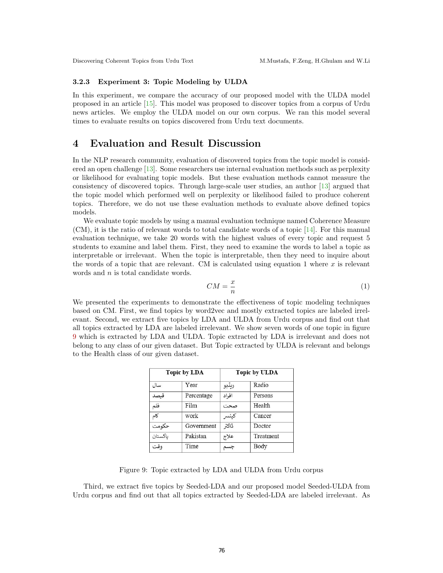#### 3.2.3 Experiment 3: Topic Modeling by ULDA

In this experiment, we compare the accuracy of our proposed model with the ULDA model proposed in an article [\[15\]](#page-11-8). This model was proposed to discover topics from a corpus of Urdu news articles. We employ the ULDA model on our own corpus. We ran this model several times to evaluate results on topics discovered from Urdu text documents.

## 4 Evaluation and Result Discussion

In the NLP research community, evaluation of discovered topics from the topic model is considered an open challenge [\[13\]](#page-11-11). Some researchers use internal evaluation methods such as perplexity or likelihood for evaluating topic models. But these evaluation methods cannot measure the consistency of discovered topics. Through large-scale user studies, an author [\[13\]](#page-11-11) argued that the topic model which performed well on perplexity or likelihood failed to produce coherent topics. Therefore, we do not use these evaluation methods to evaluate above defined topics models.

We evaluate topic models by using a manual evaluation technique named Coherence Measure (CM), it is the ratio of relevant words to total candidate words of a topic [\[14\]](#page-11-12). For this manual evaluation technique, we take 20 words with the highest values of every topic and request 5 students to examine and label them. First, they need to examine the words to label a topic as interpretable or irrelevant. When the topic is interpretable, then they need to inquire about the words of a topic that are relevant. CM is calculated using equation 1 where  $x$  is relevant words and *n* is total candidate words.

$$
CM = \frac{x}{n} \tag{1}
$$

We presented the experiments to demonstrate the effectiveness of topic modeling techniques based on CM. First, we find topics by word2vec and mostly extracted topics are labeled irrelevant. Second, we extract five topics by LDA and ULDA from Urdu corpus and find out that all topics extracted by LDA are labeled irrelevant. We show seven words of one topic in figure [9](#page-8-0) which is extracted by LDA and ULDA. Topic extracted by LDA is irrelevant and does not belong to any class of our given dataset. But Topic extracted by ULDA is relevant and belongs to the Health class of our given dataset.

| <b>Topic by LDA</b> |            | <b>Topic by ULDA</b> |           |
|---------------------|------------|----------------------|-----------|
| سال                 | Year       | ريڈيو                | Radio     |
| فىصد                | Percentage | افراد                | Persons   |
| فلم                 | Film       | صحت                  | Health    |
| کام                 | work       | كينسر                | Cancer    |
| حكومت               | Government | ڈاکٹر                | Doctor    |
| باكستان             | Pakistan   | علاج                 | Treatment |
| وقت                 | Time       |                      | Body      |

<span id="page-8-0"></span>Figure 9: Topic extracted by LDA and ULDA from Urdu corpus

Third, we extract five topics by Seeded-LDA and our proposed model Seeded-ULDA from Urdu corpus and find out that all topics extracted by Seeded-LDA are labeled irrelevant. As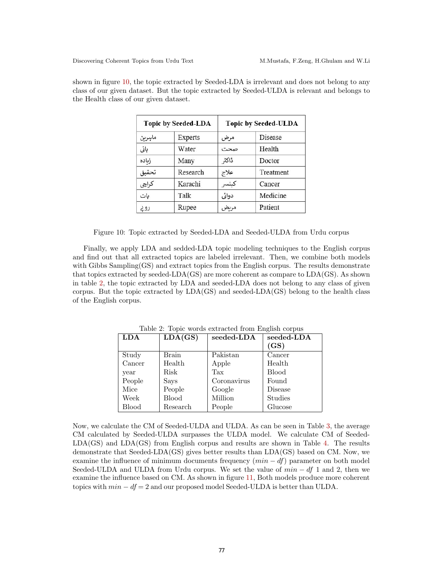shown in figure [10,](#page-9-0) the topic extracted by Seeded-LDA is irrelevant and does not belong to any class of our given dataset. But the topic extracted by Seeded-ULDA is relevant and belongs to the Health class of our given dataset.

| <b>Topic by Seeded-LDA</b> |                | <b>Topic by Seeded-ULDA</b> |           |
|----------------------------|----------------|-----------------------------|-----------|
| ماسرين                     | <b>Experts</b> | مرض                         | Disease   |
| پانی                       | Water          | صحت                         | Health    |
| زباده                      | Many           | ڈاکٹر                       | Doctor    |
| تحقيق                      | Research       | علاج                        | Treatment |
| كراچى                      | Karachi        | كينسر                       | Cancer    |
| بات                        | Talk           | دوائی                       | Medicine  |
| روح                        | Rupee          | مرىض                        | Patient   |

<span id="page-9-0"></span>Figure 10: Topic extracted by Seeded-LDA and Seeded-ULDA from Urdu corpus

Finally, we apply LDA and sedded-LDA topic modeling techniques to the English corpus and find out that all extracted topics are labeled irrelevant. Then, we combine both models with Gibbs Sampling(GS) and extract topics from the English corpus. The results demonstrate that topics extracted by seeded-LDA(GS) are more coherent as compare to LDA(GS). As shown in table [2,](#page-9-1) the topic extracted by LDA and seeded-LDA does not belong to any class of given corpus. But the topic extracted by  $LDA(GS)$  and seeded- $LDA(GS)$  belong to the health class of the English corpus.

| <b>LDA</b>   | LDA(GS)      | seeded-LDA  | $seeded$ -LDA  |
|--------------|--------------|-------------|----------------|
|              |              |             | (GS)           |
| Study        | Brain        | Pakistan    | Cancer         |
| Cancer       | Health       | Apple       | Health         |
| year         | Risk         | Tax         | <b>Blood</b>   |
| People       | Says         | Coronavirus | Found          |
| Mice         | People       | Google      | Disease        |
| Week         | <b>Blood</b> | Million     | <b>Studies</b> |
| <b>Blood</b> | Research     | People      | Glucose        |

<span id="page-9-1"></span>Table 2: Topic words extracted from English corpus

Now, we calculate the CM of Seeded-ULDA and ULDA. As can be seen in Table [3,](#page-10-0) the average CM calculated by Seeded-ULDA surpasses the ULDA model. We calculate CM of Seeded-LDA(GS) and LDA(GS) from English corpus and results are shown in Table [4.](#page-10-1) The results demonstrate that Seeded-LDA(GS) gives better results than LDA(GS) based on CM. Now, we examine the influence of minimum documents frequency  $(min - df)$  parameter on both model Seeded-ULDA and ULDA from Urdu corpus. We set the value of  $min - df 1$  and 2, then we examine the influence based on CM. As shown in figure [11,](#page-10-2) Both models produce more coherent topics with  $min - df = 2$  and our proposed model Seeded-ULDA is better than ULDA.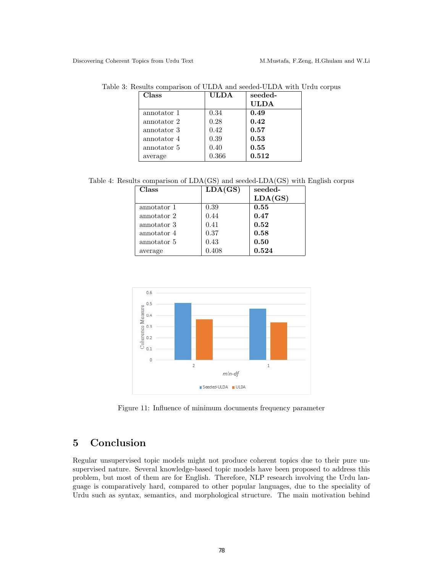<span id="page-10-0"></span>

| <b>Class</b> | <b>ULDA</b> | seeded-     |
|--------------|-------------|-------------|
|              |             | <b>ULDA</b> |
| annotator 1  | 0.34        | 0.49        |
| annotator 2  | 0.28        | 0.42        |
| annotator 3  | 0.42        | 0.57        |
| annotator 4  | 0.39        | 0.53        |
| annotator 5  | 0.40        | 0.55        |
| average      | 0.366       | 0.512       |

Table 3: Results comparison of ULDA and seeded-ULDA with Urdu corpus

Table 4: Results comparison of LDA(GS) and seeded-LDA(GS) with English corpus

<span id="page-10-1"></span>

| Class       | LDA(GS) | seeded- |
|-------------|---------|---------|
|             |         | LDA(GS) |
| annotator 1 | 0.39    | 0.55    |
| annotator 2 | 0.44    | 0.47    |
| annotator 3 | 0.41    | 0.52    |
| annotator 4 | 0.37    | 0.58    |
| annotator 5 | 0.43    | 0.50    |
| average     | 0.408   | 0.524   |



<span id="page-10-2"></span>Figure 11: Influence of minimum documents frequency parameter

# 5 Conclusion

Regular unsupervised topic models might not produce coherent topics due to their pure unsupervised nature. Several knowledge-based topic models have been proposed to address this problem, but most of them are for English. Therefore, NLP research involving the Urdu language is comparatively hard, compared to other popular languages, due to the speciality of Urdu such as syntax, semantics, and morphological structure. The main motivation behind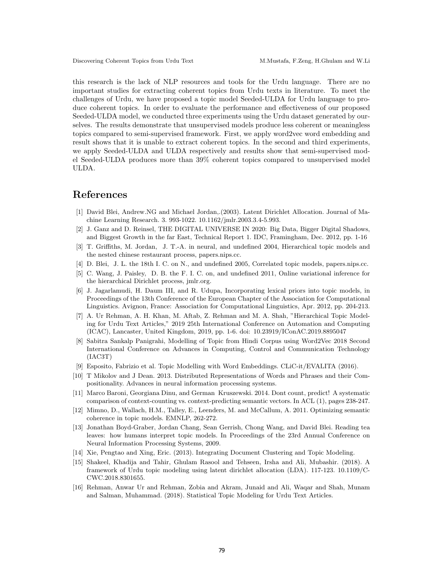this research is the lack of NLP resources and tools for the Urdu language. There are no important studies for extracting coherent topics from Urdu texts in literature. To meet the challenges of Urdu, we have proposed a topic model Seeded-ULDA for Urdu language to produce coherent topics. In order to evaluate the performance and effectiveness of our proposed Seeded-ULDA model, we conducted three experiments using the Urdu dataset generated by ourselves. The results demonstrate that unsupervised models produce less coherent or meaningless topics compared to semi-supervised framework. First, we apply word2vec word embedding and result shows that it is unable to extract coherent topics. In the second and third experiments, we apply Seeded-ULDA and ULDA respectively and results show that semi-supervised model Seeded-ULDA produces more than 39% coherent topics compared to unsupervised model ULDA.

## References

- [1] David Blei, Andrew.NG and Michael Jordan,.(2003). Latent Dirichlet Allocation. Journal of Machine Learning Research. 3. 993-1022. 10.1162/jmlr.2003.3.4-5.993.
- [2] J. Ganz and D. Reinsel, THE DIGITAL UNIVERSE IN 2020: Big Data, Bigger Digital Shadows, and Biggest Growth in the far East, Technical Report 1. IDC, Framingham, Dec. 2012, pp. 1-16
- <span id="page-11-2"></span>[3] T. Griffiths, M. Jordan, J. T.-A. in neural, and undefined 2004, Hierarchical topic models and the nested chinese restaurant process, papers.nips.cc.
- <span id="page-11-1"></span>[4] D. Blei, J. L. the 18th I. C. on N., and undefined 2005, Correlated topic models, papers.nips.cc.
- <span id="page-11-0"></span>[5] C. Wang, J. Paisley, D. B. the F. I. C. on, and undefined 2011, Online variational inference for the hierarchical Dirichlet process, jmlr.org.
- <span id="page-11-7"></span>[6] J. Jagarlamudi, H. Daum III, and R. Udupa, Incorporating lexical priors into topic models, in Proceedings of the 13th Conference of the European Chapter of the Association for Computational Linguistics. Avignon, France: Association for Computational Linguistics, Apr. 2012, pp. 204-213.
- <span id="page-11-10"></span>[7] A. Ur Rehman, A. H. Khan, M. Aftab, Z. Rehman and M. A. Shah, "Hierarchical Topic Modeling for Urdu Text Articles," 2019 25th International Conference on Automation and Computing (ICAC), Lancaster, United Kingdom, 2019, pp. 1-6. doi: 10.23919/IConAC.2019.8895047
- <span id="page-11-4"></span>[8] Sabitra Sankalp Panigrahi, Modelling of Topic from Hindi Corpus using Word2Vec 2018 Second International Conference on Advances in Computing, Control and Communication Technology (IAC3T)
- <span id="page-11-5"></span>[9] Esposito, Fabrizio et al. Topic Modelling with Word Embeddings. CLiC-it/EVALITA (2016).
- <span id="page-11-3"></span>[10] T Mikolov and J Dean. 2013. Distributed Representations of Words and Phrases and their Compositionality. Advances in neural information processing systems.
- [11] Marco Baroni, Georgiana Dinu, and German Kruszewski. 2014. Dont count, predict! A systematic comparison of context-counting vs. context-predicting semantic vectors. In ACL (1), pages 238-247.
- <span id="page-11-6"></span>[12] Mimno, D., Wallach, H.M., Talley, E., Leenders, M. and McCallum, A. 2011. Optimizing semantic coherence in topic models. EMNLP, 262-272.
- <span id="page-11-11"></span>[13] Jonathan Boyd-Graber, Jordan Chang, Sean Gerrish, Chong Wang, and David Blei. Reading tea leaves: how humans interpret topic models. In Proceedings of the 23rd Annual Conference on Neural Information Processing Systems, 2009.
- <span id="page-11-12"></span>[14] Xie, Pengtao and Xing, Eric. (2013). Integrating Document Clustering and Topic Modeling.
- <span id="page-11-8"></span>[15] Shakeel, Khadija and Tahir, Ghulam Rasool and Tehseen, Irsha and Ali, Mubashir. (2018). A framework of Urdu topic modeling using latent dirichlet allocation (LDA). 117-123. 10.1109/C-CWC.2018.8301655.
- <span id="page-11-9"></span>[16] Rehman, Anwar Ur and Rehman, Zobia and Akram, Junaid and Ali, Waqar and Shah, Munam and Salman, Muhammad. (2018). Statistical Topic Modeling for Urdu Text Articles.